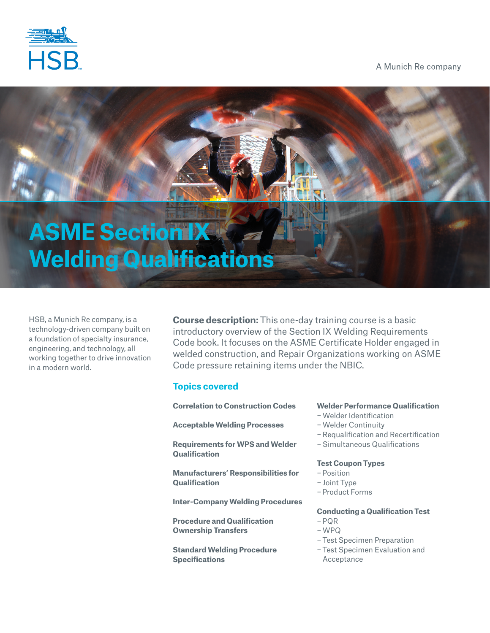

A Munich Re company

# **ASME Section IX Welding Qualifications**

HSB, a Munich Re company, is a technology-driven company built on a foundation of specialty insurance, engineering, and technology, all working together to drive innovation in a modern world.

**Course description:** This one-day training course is a basic introductory overview of the Section IX Welding Requirements Code book. It focuses on the ASME Certificate Holder engaged in welded construction, and Repair Organizations working on ASME Code pressure retaining items under the NBIC.

# **Topics covered**

**Correlation to Construction Codes**

**Acceptable Welding Processes**

**Requirements for WPS and Welder Qualification**

**Manufacturers' Responsibilities for Qualification**

**Inter-Company Welding Procedures**

**Procedure and Qualification Ownership Transfers**

**Standard Welding Procedure Specifications**

# **Welder Performance Qualification**

- −Welder Identification
- −Welder Continuity
- −Requalification and Recertification
- − Simultaneous Qualifications

#### **Test Coupon Types**

- − Position
- − Joint Type
- − Product Forms

## **Conducting a Qualification Test**

- − PQR
- −WPQ
- − Test Specimen Preparation
- − Test Specimen Evaluation and Acceptance